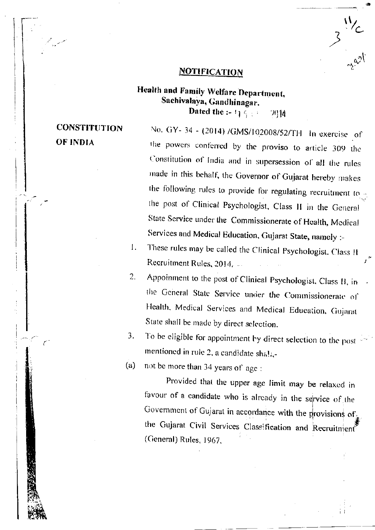## **NOTIFICATION**

#### Health and Family Welfare Department, Sachivalaya, Gandhinagar. Dated the :-  $\eta \in \mathbb{R}$  $2116$

# **CONSTITUTION** OF INDIA

No. GY- 34 - (2014) /GMS/102008/52/TH In exercise of the powers conferred by the proviso to article 309 the Constitution of India and in supersession of all the rules made in this behalf, the Governor of Gujarat hereby makes the following rules to provide for regulating recruitment to the post of Clinical Psychologist, Class II in the General State Service under the Commissionerate of Health, Medical Services and Medical Education, Gujarat State, namely :-

These rules may be called the Clinical Psychologist, Class II  $\mathbf{I}$ . Recruitment Rules, 2014.

Appoinment to the post of Clinical Psychologist, Class II, in  $2.$ the General State Service under the Commissionerate of Health, Medical Services and Medical Education, Gujarat State shall be made by direct selection.

To be eligible for appointment by direct selection to the post 3. mentioned in rule 2, a candidate shall,-

not be more than 34 years of age :  $(a)$ 

> Provided that the upper age limit may be relaxed in favour of a candidate who is already in the service of the Government of Gujarat in accordance with the provisions of the Gujarat Civil Services Classification and Recruitment<sup>8</sup> (General) Rules, 1967.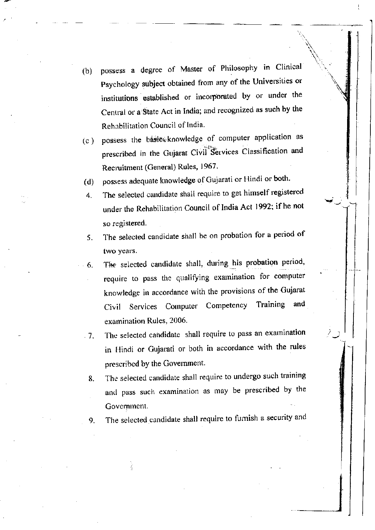- possess a degree of Master of Philosophy in Clinical  $(b)$ Psychology subject obtained from any of the Universities or institutions established or incorporated by or under the Central or a State Act in India; and recognized as such by the Rehabilitation Council of India.
- (c) possess the bastes knowledge of computer application as prescribed in the Gujarat Civil Services Classification and Recruitment (General) Rules, 1967.
- possess adequate knowledge of Gujarati or Hindi or both.  $(d)$
- The selected candidate shall require to get himself registered  $4.$ under the Rehabilitation Council of India Act 1992; if he not so registered.
- The selected candidate shall be on probation for a period of  $5.$ two years.
- The selected candidate shall, during his probation period, 6. require to pass the qualifying examination for computer knowledge in accordance with the provisions of the Gujarat Services Computer Competency Training and Civil examination Rules, 2006.
- The selected candidate shall require to pass an examination  $-7.$ in Hindi or Gujarati or both in accordance with the rules prescribed by the Government.
	- The selected candidate shall require to undergo such training 8. and pass such examination as may be prescribed by the Government.
	- The selected candidate shall require to furnish a security and 9.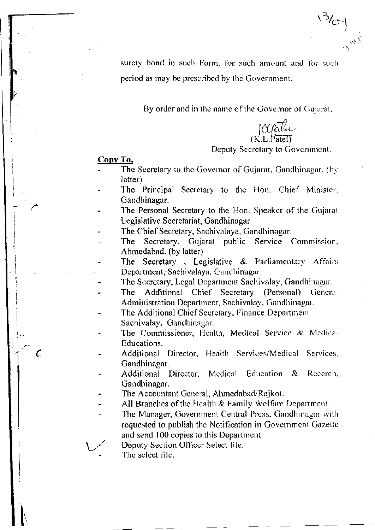surety bond in such Form, for such amount and for such period as may be prescribed by the Government.

By order and in the name of the Governor of Gujarat,

 $CC/dd$ 

 $\frac{1}{2}$ 

Deputy Secretary to Government.

### Copy To,

- The Secretary to the Governor of Gujarat, Gandhinagar. (by latter)
- The Principal Secretary to the Hon. Chief Minister, Gandhinagar.
- The Personal Secretary to the Hon. Speaker of the Gujarat Legislative Secretariat, Gandhinagar.
- The Chief Secretary, Sachivalaya, Gandhinagar.
- The Secretary, Gujarat public Service Commission, Ahmedabad. (by latter)
- The Secretary , Legislative  $\&$  Parliamentary Affairs Department, Sachivalaya, Gandhinagar,
- The Secretary, Legal Department Sachivalay, Gandhinagar.
- Additional Chief Secretary (Personal) General The Administration Department, Sachivalay, Gandhinagar.
- The Additional Chief Secretary, Finance Department Sachivalay, Gandhinagar.
- The Commissioner, Health, Medical Service & Medical Educations.
- Additional Director, Health Services/Medical Services, Gandhinagar.
- Additional Director, Medical Education & Recerch. Gandhinagar.
- The Accountant General, Ahmedabad/Rajkot.
- All Branches of the Health & Family Welfare Department.
- The Manager, Government Central Press, Gandhinagar with requested to publish the Notification in Government Gazette and send 100 copies to this Department
	- Deputy Section Officer Select file.

The select file.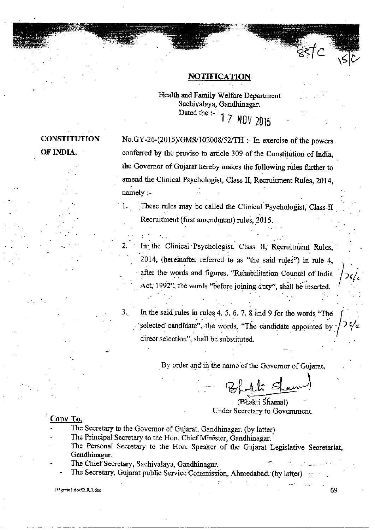### <u>NOTIFICATION</u>

ू<br>इंद

Health and Family Welfare Department Sachivalaya, Gandhinagar. Dated the :-**NOV 2015** 

**CONSTITUTION** OF INDIA.

No.GY-26-(2015)/GMS/102008/52/TH :- In exercise of the powers conferred by the proviso to article 309 of the Constitution of India. the Governor of Gujarat hereby makes the following rules further to amend the Clinical Psychologist, Class II, Recruitment Rules, 2014, namely :-

These rules may be called the Clinical Psychologist, Class-II  $1.$ Recruitment (first amendment) rules, 2015.

In the Clinical Psychologist, Class II, Recruitment Rules, 2014, (hereinafter referred to as "the said rules") in rule 4, after the words and figures, "Rehabilitation Council of India Act, 1992", the words "before joining duty", shall be inserted.

In the said rules in rules 4, 5, 6, 7, 8 and 9 for the words "The selected candidate", the words, "The candidate appointed by direct selection", shall be substituted.

By order and in the name of the Governor of Gujarat,

(Bhakti Shamal) Under Secretary to Government.

#### Copy To.

- The Secretary to the Governor of Gujarat, Gandhinagar. (by latter)
- The Principal Secretary to the Hon. Chief Minister, Gandhinagar.
- The Personal Secretary to the Hon. Speaker of the Gujarat Legislative Secretariat, Gandhinagar.
	- The Chief Secretary, Sachivalaya, Gandhinagar.

3.

The Secretary, Gujarat public Service Commission, Ahmedabad. (by latter)

Dilgeetal.doclR.R.1.doc